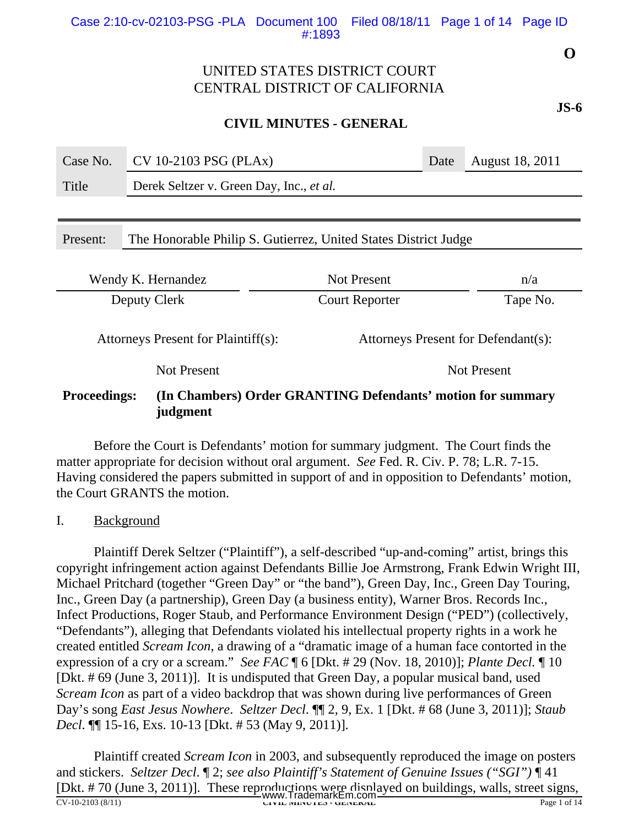### **CIVIL MINUTES - GENERAL**

| Case No.                                                                                       | CV 10-2103 PSG (PLAx)                                           |                       | Date | August 18, 2011 |  |  |
|------------------------------------------------------------------------------------------------|-----------------------------------------------------------------|-----------------------|------|-----------------|--|--|
| Title                                                                                          | Derek Seltzer v. Green Day, Inc., et al.                        |                       |      |                 |  |  |
|                                                                                                |                                                                 |                       |      |                 |  |  |
| Present:                                                                                       | The Honorable Philip S. Gutierrez, United States District Judge |                       |      |                 |  |  |
|                                                                                                |                                                                 |                       |      |                 |  |  |
| Not Present<br>Wendy K. Hernandez<br>n/a                                                       |                                                                 |                       |      |                 |  |  |
| Deputy Clerk                                                                                   |                                                                 | <b>Court Reporter</b> |      | Tape No.        |  |  |
| Attorneys Present for Plaintiff(s):<br>Attorneys Present for Defendant(s):                     |                                                                 |                       |      |                 |  |  |
| <b>Not Present</b><br><b>Not Present</b>                                                       |                                                                 |                       |      |                 |  |  |
| <b>Proceedings:</b><br>(In Chambers) Order GRANTING Defendants' motion for summary<br>judgment |                                                                 |                       |      |                 |  |  |

Before the Court is Defendants' motion for summary judgment. The Court finds the matter appropriate for decision without oral argument. *See* Fed. R. Civ. P. 78; L.R. 7-15. Having considered the papers submitted in support of and in opposition to Defendants' motion, the Court GRANTS the motion.

I. Background

Plaintiff Derek Seltzer ("Plaintiff"), a self-described "up-and-coming" artist, brings this copyright infringement action against Defendants Billie Joe Armstrong, Frank Edwin Wright III, Michael Pritchard (together "Green Day" or "the band"), Green Day, Inc., Green Day Touring, Inc., Green Day (a partnership), Green Day (a business entity), Warner Bros. Records Inc., Infect Productions, Roger Staub, and Performance Environment Design ("PED") (collectively, "Defendants"), alleging that Defendants violated his intellectual property rights in a work he created entitled *Scream Icon*, a drawing of a "dramatic image of a human face contorted in the expression of a cry or a scream." *See FAC* ¶ 6 [Dkt. # 29 (Nov. 18, 2010)]; *Plante Decl.* ¶ 10 [Dkt. # 69 (June 3, 2011)]. It is undisputed that Green Day, a popular musical band, used *Scream Icon* as part of a video backdrop that was shown during live performances of Green Day's song *East Jesus Nowhere*. *Seltzer Decl*. ¶¶ 2, 9, Ex. 1 [Dkt. # 68 (June 3, 2011)]; *Staub Decl*. ¶¶ 15-16, Exs. 10-13 [Dkt. # 53 (May 9, 2011)].

Plaintiff created *Scream Icon* in 2003, and subsequently reproduced the image on posters and stickers. *Seltzer Decl*. ¶ 2; *see also Plaintiff's Statement of Genuine Issues ("SGI")* ¶ 41 [Dkt. # 70 (June 3, 2011)]. These reproductions were displayed on buildings, walls, street signs, EDRI, M TO (Sanc 3, 2011)]. These rep.<br>WWW.TrademarkEm.com bandings, wans, street signs,<br>Page 1 of 14<br>Page 1 of 14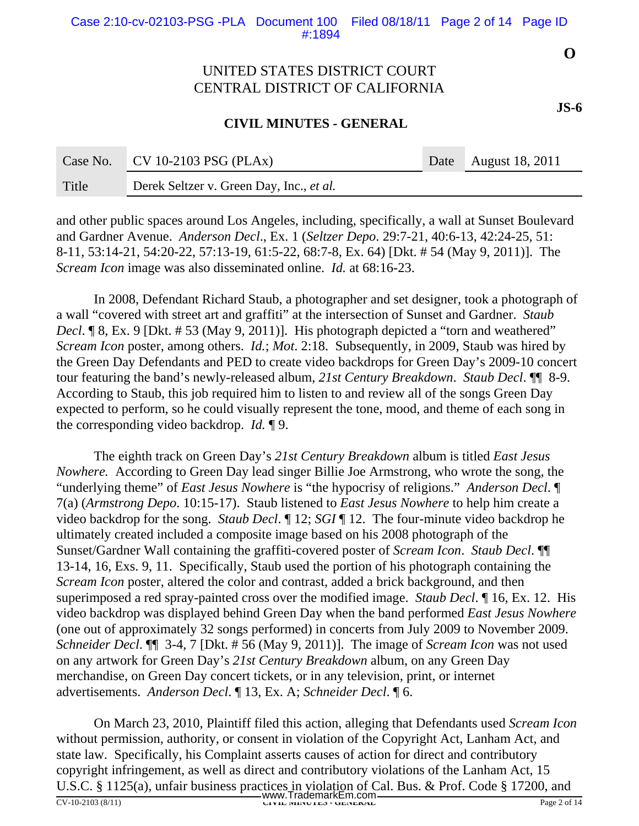### **CIVIL MINUTES - GENERAL**

| Case No. | $CV 10-2103 PSG (PLAx)$                         | Date August 18, 2011 |
|----------|-------------------------------------------------|----------------------|
| Title    | Derek Seltzer v. Green Day, Inc., <i>et al.</i> |                      |

and other public spaces around Los Angeles, including, specifically, a wall at Sunset Boulevard and Gardner Avenue. *Anderson Decl*., Ex. 1 (*Seltzer Depo*. 29:7-21, 40:6-13, 42:24-25, 51: 8-11, 53:14-21, 54:20-22, 57:13-19, 61:5-22, 68:7-8, Ex. 64) [Dkt. # 54 (May 9, 2011)]. The *Scream Icon* image was also disseminated online. *Id.* at 68:16-23.

In 2008, Defendant Richard Staub, a photographer and set designer, took a photograph of a wall "covered with street art and graffiti" at the intersection of Sunset and Gardner. *Staub Decl.* ¶ 8, Ex. 9 [Dkt. # 53 (May 9, 2011)]. His photograph depicted a "torn and weathered" *Scream Icon* poster, among others. *Id.*; *Mot*. 2:18. Subsequently, in 2009, Staub was hired by the Green Day Defendants and PED to create video backdrops for Green Day's 2009-10 concert tour featuring the band's newly-released album, *21st Century Breakdown*. *Staub Decl*. ¶¶ 8-9. According to Staub, this job required him to listen to and review all of the songs Green Day expected to perform, so he could visually represent the tone, mood, and theme of each song in the corresponding video backdrop. *Id.* ¶ 9.

The eighth track on Green Day's *21st Century Breakdown* album is titled *East Jesus Nowhere.* According to Green Day lead singer Billie Joe Armstrong, who wrote the song, the "underlying theme" of *East Jesus Nowhere* is "the hypocrisy of religions." *Anderson Decl*. ¶ 7(a) (*Armstrong Depo*. 10:15-17). Staub listened to *East Jesus Nowhere* to help him create a video backdrop for the song. *Staub Decl*. ¶ 12; *SGI* ¶ 12. The four-minute video backdrop he ultimately created included a composite image based on his 2008 photograph of the Sunset/Gardner Wall containing the graffiti-covered poster of *Scream Icon*. *Staub Decl*. ¶¶ 13-14, 16, Exs. 9, 11. Specifically, Staub used the portion of his photograph containing the *Scream Icon* poster, altered the color and contrast, added a brick background, and then superimposed a red spray-painted cross over the modified image. *Staub Decl*. ¶ 16, Ex. 12. His video backdrop was displayed behind Green Day when the band performed *East Jesus Nowhere* (one out of approximately 32 songs performed) in concerts from July 2009 to November 2009. *Schneider Decl*. ¶¶ 3-4, 7 [Dkt. # 56 (May 9, 2011)]. The image of *Scream Icon* was not used on any artwork for Green Day's *21st Century Breakdown* album, on any Green Day merchandise, on Green Day concert tickets, or in any television, print, or internet advertisements. *Anderson Decl*. ¶ 13, Ex. A; *Schneider Decl*. ¶ 6.

On March 23, 2010, Plaintiff filed this action, alleging that Defendants used *Scream Icon* without permission, authority, or consent in violation of the Copyright Act, Lanham Act, and state law. Specifically, his Complaint asserts causes of action for direct and contributory copyright infringement, as well as direct and contributory violations of the Lanham Act, 15 U.S.C. § 1125(a), unfair business practices in violation of Cal. Bus. & Prof. Code § 17200, and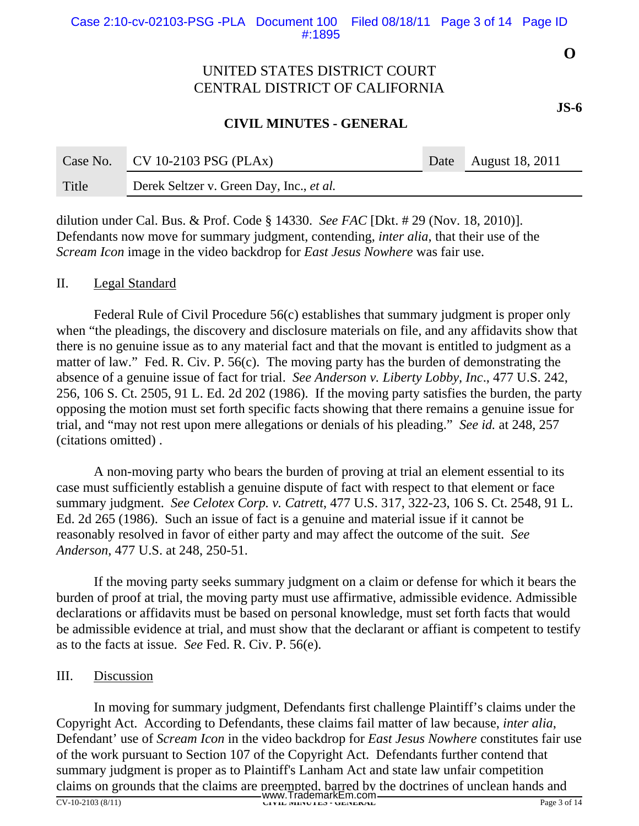### **CIVIL MINUTES - GENERAL**

| Case No. | $\sqrt{CVI0-2103}$ PSG (PLAx)            | Date August 18, 2011 |
|----------|------------------------------------------|----------------------|
| Title    | Derek Seltzer v. Green Day, Inc., et al. |                      |

dilution under Cal. Bus. & Prof. Code § 14330. *See FAC* [Dkt. # 29 (Nov. 18, 2010)]. Defendants now move for summary judgment, contending, *inter alia*, that their use of the *Scream Icon* image in the video backdrop for *East Jesus Nowhere* was fair use.

#### II. Legal Standard

Federal Rule of Civil Procedure 56(c) establishes that summary judgment is proper only when "the pleadings, the discovery and disclosure materials on file, and any affidavits show that there is no genuine issue as to any material fact and that the movant is entitled to judgment as a matter of law." Fed. R. Civ. P. 56(c). The moving party has the burden of demonstrating the absence of a genuine issue of fact for trial. *See Anderson v. Liberty Lobby, Inc*., 477 U.S. 242, 256, 106 S. Ct. 2505, 91 L. Ed. 2d 202 (1986). If the moving party satisfies the burden, the party opposing the motion must set forth specific facts showing that there remains a genuine issue for trial, and "may not rest upon mere allegations or denials of his pleading." *See id.* at 248, 257 (citations omitted) .

A non-moving party who bears the burden of proving at trial an element essential to its case must sufficiently establish a genuine dispute of fact with respect to that element or face summary judgment. *See Celotex Corp. v. Catrett*, 477 U.S. 317, 322-23, 106 S. Ct. 2548, 91 L. Ed. 2d 265 (1986). Such an issue of fact is a genuine and material issue if it cannot be reasonably resolved in favor of either party and may affect the outcome of the suit. *See Anderson*, 477 U.S. at 248, 250-51.

If the moving party seeks summary judgment on a claim or defense for which it bears the burden of proof at trial, the moving party must use affirmative, admissible evidence. Admissible declarations or affidavits must be based on personal knowledge, must set forth facts that would be admissible evidence at trial, and must show that the declarant or affiant is competent to testify as to the facts at issue. *See* Fed. R. Civ. P. 56(e).

#### III. Discussion

In moving for summary judgment, Defendants first challenge Plaintiff's claims under the Copyright Act. According to Defendants, these claims fail matter of law because, *inter alia*, Defendant' use of *Scream Icon* in the video backdrop for *East Jesus Nowhere* constitutes fair use of the work pursuant to Section 107 of the Copyright Act. Defendants further contend that summary judgment is proper as to Plaintiff's Lanham Act and state law unfair competition claims on grounds that the claims are preempted, barred by the doctrines of unclean hands and

**O**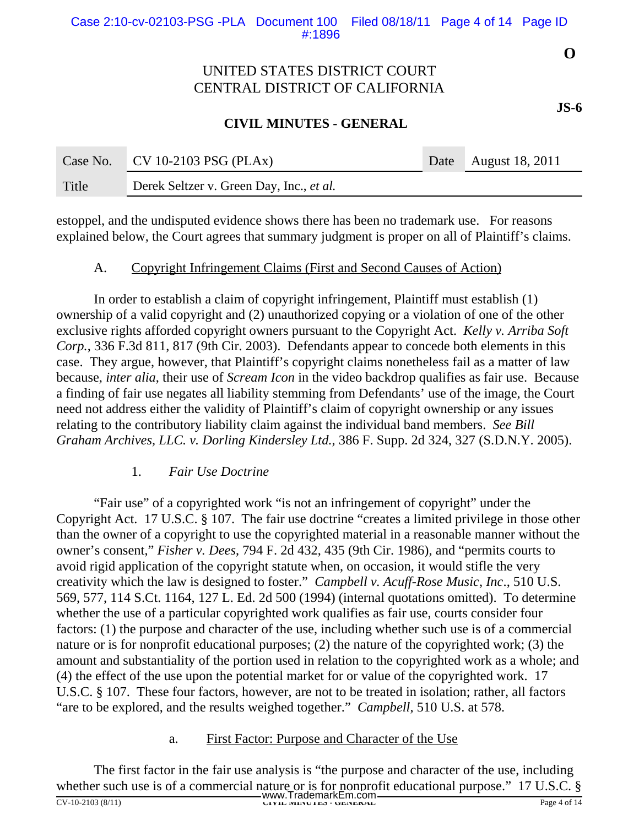### **CIVIL MINUTES - GENERAL**

| Case No. | CV 10-2103 PSG (PLAx)                    | Date August 18, 2011 |
|----------|------------------------------------------|----------------------|
| Title    | Derek Seltzer v. Green Day, Inc., et al. |                      |

estoppel, and the undisputed evidence shows there has been no trademark use. For reasons explained below, the Court agrees that summary judgment is proper on all of Plaintiff's claims.

#### A. Copyright Infringement Claims (First and Second Causes of Action)

In order to establish a claim of copyright infringement, Plaintiff must establish (1) ownership of a valid copyright and (2) unauthorized copying or a violation of one of the other exclusive rights afforded copyright owners pursuant to the Copyright Act. *Kelly v. Arriba Soft Corp.*, 336 F.3d 811, 817 (9th Cir. 2003). Defendants appear to concede both elements in this case. They argue, however, that Plaintiff's copyright claims nonetheless fail as a matter of law because, *inter alia*, their use of *Scream Icon* in the video backdrop qualifies as fair use. Because a finding of fair use negates all liability stemming from Defendants' use of the image, the Court need not address either the validity of Plaintiff's claim of copyright ownership or any issues relating to the contributory liability claim against the individual band members. *See Bill Graham Archives, LLC. v. Dorling Kindersley Ltd.*, 386 F. Supp. 2d 324, 327 (S.D.N.Y. 2005).

#### 1. *Fair Use Doctrine*

"Fair use" of a copyrighted work "is not an infringement of copyright" under the Copyright Act. 17 U.S.C. § 107. The fair use doctrine "creates a limited privilege in those other than the owner of a copyright to use the copyrighted material in a reasonable manner without the owner's consent," *Fisher v. Dees*, 794 F. 2d 432, 435 (9th Cir. 1986), and "permits courts to avoid rigid application of the copyright statute when, on occasion, it would stifle the very creativity which the law is designed to foster." *Campbell v. Acuff-Rose Music, Inc*., 510 U.S. 569, 577, 114 S.Ct. 1164, 127 L. Ed. 2d 500 (1994) (internal quotations omitted). To determine whether the use of a particular copyrighted work qualifies as fair use, courts consider four factors: (1) the purpose and character of the use, including whether such use is of a commercial nature or is for nonprofit educational purposes; (2) the nature of the copyrighted work; (3) the amount and substantiality of the portion used in relation to the copyrighted work as a whole; and (4) the effect of the use upon the potential market for or value of the copyrighted work. 17 U.S.C. § 107. These four factors, however, are not to be treated in isolation; rather, all factors "are to be explored, and the results weighed together." *Campbell*, 510 U.S. at 578.

#### a. First Factor: Purpose and Character of the Use

The first factor in the fair use analysis is "the purpose and character of the use, including whether such use is of a commercial nature or is for nonprofit educational purpose." 17 U.S.C. § WWW.TrademarkEm.com Factor CV-10-2103 (8/11) **CIVIL MINUTES - GENERAL** Page 4 of 14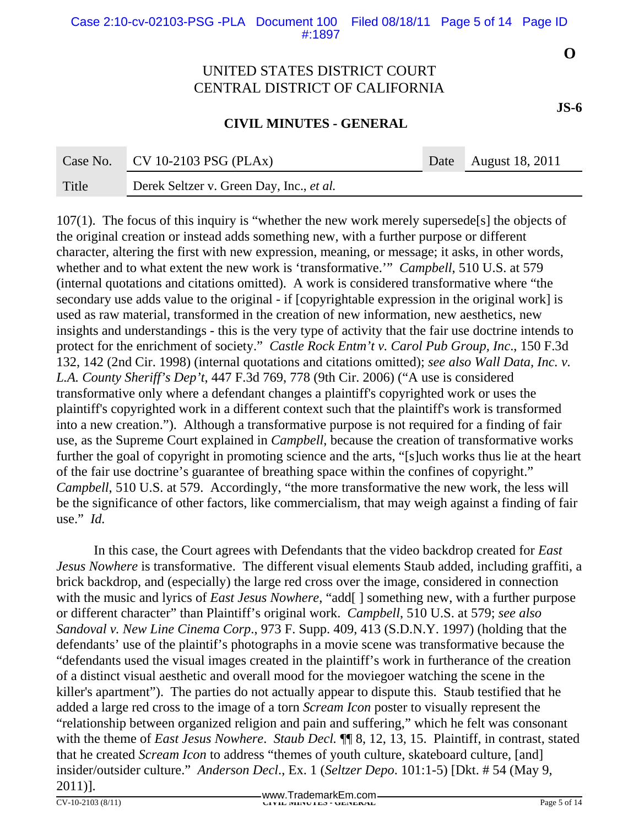### **CIVIL MINUTES - GENERAL**

| Case No. | $\Box$ CV 10-2103 PSG (PLAx)             | Date August 18, 2011 |
|----------|------------------------------------------|----------------------|
| Title    | Derek Seltzer v. Green Day, Inc., et al. |                      |

107(1). The focus of this inquiry is "whether the new work merely supersede[s] the objects of the original creation or instead adds something new, with a further purpose or different character, altering the first with new expression, meaning, or message; it asks, in other words, whether and to what extent the new work is 'transformative.'" *Campbell*, 510 U.S. at 579 (internal quotations and citations omitted). A work is considered transformative where "the secondary use adds value to the original - if [copyrightable expression in the original work] is used as raw material, transformed in the creation of new information, new aesthetics, new insights and understandings - this is the very type of activity that the fair use doctrine intends to protect for the enrichment of society." *Castle Rock Entm't v. Carol Pub Group, Inc*., 150 F.3d 132, 142 (2nd Cir. 1998) (internal quotations and citations omitted); *see also Wall Data, Inc. v. L.A. County Sheriff's Dep't*, 447 F.3d 769, 778 (9th Cir. 2006) ("A use is considered transformative only where a defendant changes a plaintiff's copyrighted work or uses the plaintiff's copyrighted work in a different context such that the plaintiff's work is transformed into a new creation."). Although a transformative purpose is not required for a finding of fair use, as the Supreme Court explained in *Campbell*, because the creation of transformative works further the goal of copyright in promoting science and the arts, "[s]uch works thus lie at the heart of the fair use doctrine's guarantee of breathing space within the confines of copyright." *Campbell*, 510 U.S. at 579. Accordingly, "the more transformative the new work, the less will be the significance of other factors, like commercialism, that may weigh against a finding of fair use." *Id.*

In this case, the Court agrees with Defendants that the video backdrop created for *East Jesus Nowhere* is transformative. The different visual elements Staub added, including graffiti, a brick backdrop, and (especially) the large red cross over the image, considered in connection with the music and lyrics of *East Jesus Nowhere*, "add[] something new, with a further purpose or different character" than Plaintiff's original work. *Campbell*, 510 U.S. at 579; *see also Sandoval v. New Line Cinema Corp*., 973 F. Supp. 409, 413 (S.D.N.Y. 1997) (holding that the defendants' use of the plaintif's photographs in a movie scene was transformative because the "defendants used the visual images created in the plaintiff's work in furtherance of the creation of a distinct visual aesthetic and overall mood for the moviegoer watching the scene in the killer's apartment"). The parties do not actually appear to dispute this. Staub testified that he added a large red cross to the image of a torn *Scream Icon* poster to visually represent the "relationship between organized religion and pain and suffering," which he felt was consonant with the theme of *East Jesus Nowhere*. *Staub Decl.* ¶¶ 8, 12, 13, 15. Plaintiff, in contrast, stated that he created *Scream Icon* to address "themes of youth culture, skateboard culture, [and] insider/outsider culture." *Anderson Decl*., Ex. 1 (*Seltzer Depo*. 101:1-5) [Dkt. # 54 (May 9, 2011)].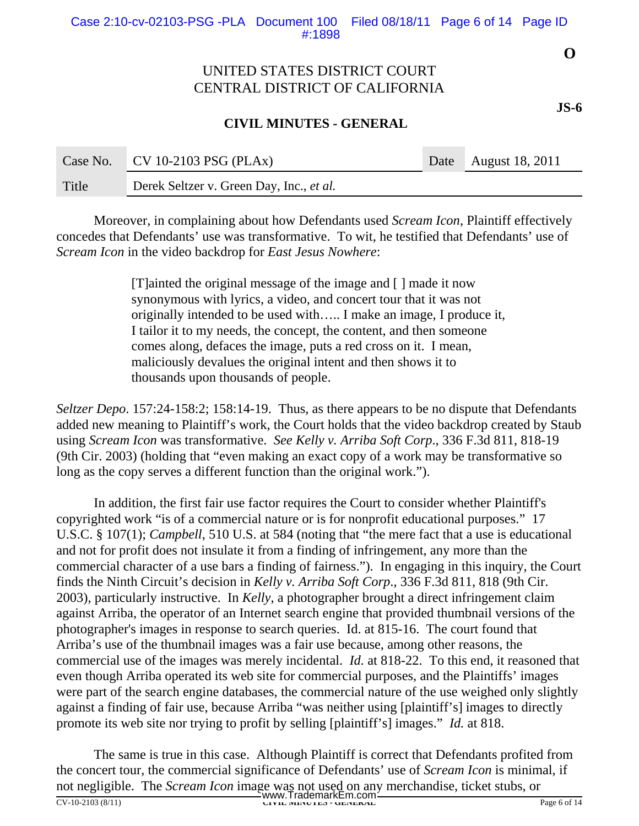### **CIVIL MINUTES - GENERAL**

| Case No. | $\sim$ CV 10-2103 PSG (PLAx)                    | Date August 18, 2011 |
|----------|-------------------------------------------------|----------------------|
| Title    | Derek Seltzer v. Green Day, Inc., <i>et al.</i> |                      |

Moreover, in complaining about how Defendants used *Scream Icon*, Plaintiff effectively concedes that Defendants' use was transformative. To wit, he testified that Defendants' use of *Scream Icon* in the video backdrop for *East Jesus Nowhere*:

> [T]ainted the original message of the image and [ ] made it now synonymous with lyrics, a video, and concert tour that it was not originally intended to be used with….. I make an image, I produce it, I tailor it to my needs, the concept, the content, and then someone comes along, defaces the image, puts a red cross on it. I mean, maliciously devalues the original intent and then shows it to thousands upon thousands of people.

*Seltzer Depo*. 157:24-158:2; 158:14-19. Thus, as there appears to be no dispute that Defendants added new meaning to Plaintiff's work, the Court holds that the video backdrop created by Staub using *Scream Icon* was transformative. *See Kelly v. Arriba Soft Corp*., 336 F.3d 811, 818-19 (9th Cir. 2003) (holding that "even making an exact copy of a work may be transformative so long as the copy serves a different function than the original work.").

In addition, the first fair use factor requires the Court to consider whether Plaintiff's copyrighted work "is of a commercial nature or is for nonprofit educational purposes." 17 U.S.C. § 107(1); *Campbell*, 510 U.S. at 584 (noting that "the mere fact that a use is educational and not for profit does not insulate it from a finding of infringement, any more than the commercial character of a use bars a finding of fairness."). In engaging in this inquiry, the Court finds the Ninth Circuit's decision in *Kelly v. Arriba Soft Corp*., 336 F.3d 811, 818 (9th Cir. 2003), particularly instructive. In *Kelly*, a photographer brought a direct infringement claim against Arriba, the operator of an Internet search engine that provided thumbnail versions of the photographer's images in response to search queries. Id. at 815-16. The court found that Arriba's use of the thumbnail images was a fair use because, among other reasons, the commercial use of the images was merely incidental. *Id.* at 818-22. To this end, it reasoned that even though Arriba operated its web site for commercial purposes, and the Plaintiffs' images were part of the search engine databases, the commercial nature of the use weighed only slightly against a finding of fair use, because Arriba "was neither using [plaintiff's] images to directly promote its web site nor trying to profit by selling [plaintiff's] images." *Id.* at 818.

The same is true in this case. Although Plaintiff is correct that Defendants profited from the concert tour, the commercial significance of Defendants' use of *Scream Icon* is minimal, if not negligible. The *Scream Icon* image was not used on any merchandise, ticket stubs, or CV-10-2103 (8/11)<br>
CV-10-2103 (8/11)<br>
CIVIL MINUTES - GENERAL Page 6 of 14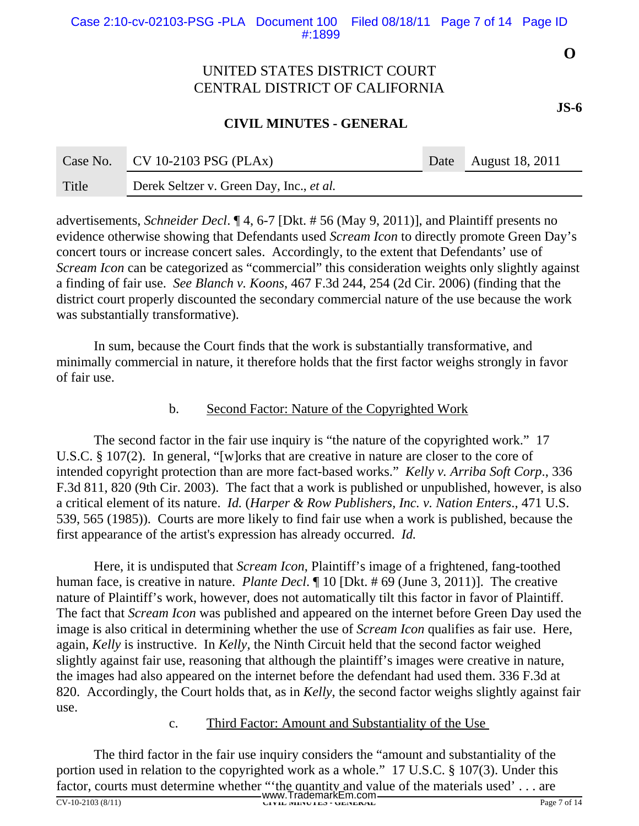### **CIVIL MINUTES - GENERAL**

| Case No. | $\Box$ CV 10-2103 PSG (PLAx)             | Date August 18, 2011 |
|----------|------------------------------------------|----------------------|
| Title    | Derek Seltzer v. Green Day, Inc., et al. |                      |

advertisements, *Schneider Decl*. ¶ 4, 6-7 [Dkt. # 56 (May 9, 2011)], and Plaintiff presents no evidence otherwise showing that Defendants used *Scream Icon* to directly promote Green Day's concert tours or increase concert sales. Accordingly, to the extent that Defendants' use of *Scream Icon* can be categorized as "commercial" this consideration weights only slightly against a finding of fair use. *See Blanch v. Koons*, 467 F.3d 244, 254 (2d Cir. 2006) (finding that the district court properly discounted the secondary commercial nature of the use because the work was substantially transformative).

In sum, because the Court finds that the work is substantially transformative, and minimally commercial in nature, it therefore holds that the first factor weighs strongly in favor of fair use.

#### b. Second Factor: Nature of the Copyrighted Work

The second factor in the fair use inquiry is "the nature of the copyrighted work." 17 U.S.C. § 107(2). In general, "[w]orks that are creative in nature are closer to the core of intended copyright protection than are more fact-based works." *Kelly v. Arriba Soft Corp*., 336 F.3d 811, 820 (9th Cir. 2003). The fact that a work is published or unpublished, however, is also a critical element of its nature. *Id.* (*Harper & Row Publishers, Inc. v. Nation Enters*., 471 U.S. 539, 565 (1985)). Courts are more likely to find fair use when a work is published, because the first appearance of the artist's expression has already occurred. *Id.*

Here, it is undisputed that *Scream Icon*, Plaintiff's image of a frightened, fang-toothed human face, is creative in nature. *Plante Decl*. ¶ 10 [Dkt. # 69 (June 3, 2011)]. The creative nature of Plaintiff's work, however, does not automatically tilt this factor in favor of Plaintiff. The fact that *Scream Icon* was published and appeared on the internet before Green Day used the image is also critical in determining whether the use of *Scream Icon* qualifies as fair use. Here, again, *Kelly* is instructive. In *Kelly*, the Ninth Circuit held that the second factor weighed slightly against fair use, reasoning that although the plaintiff's images were creative in nature, the images had also appeared on the internet before the defendant had used them. 336 F.3d at 820. Accordingly, the Court holds that, as in *Kelly*, the second factor weighs slightly against fair use.

#### c. Third Factor: Amount and Substantiality of the Use

The third factor in the fair use inquiry considers the "amount and substantiality of the portion used in relation to the copyrighted work as a whole." 17 U.S.C. § 107(3). Under this factor, courts must determine whether "'the quantity and value of the materials used'... are CV-10-2103 (8/11) **CIVIL MINUTES - GENERAL** Page 7 of 14 www.TrademarkEm.com

**O**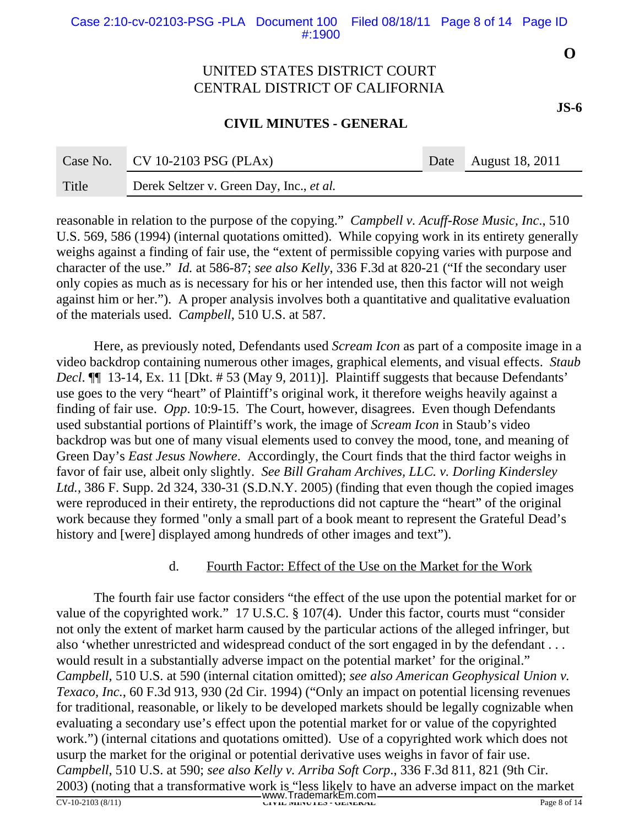#### **CIVIL MINUTES - GENERAL**

|       | Case No. CV 10-2103 PSG (PLAx)           | Date August 18, 2011 |
|-------|------------------------------------------|----------------------|
| Title | Derek Seltzer v. Green Day, Inc., et al. |                      |

reasonable in relation to the purpose of the copying." *Campbell v. Acuff-Rose Music, Inc*., 510 U.S. 569, 586 (1994) (internal quotations omitted). While copying work in its entirety generally weighs against a finding of fair use, the "extent of permissible copying varies with purpose and character of the use." *Id.* at 586-87; *see also Kelly*, 336 F.3d at 820-21 ("If the secondary user only copies as much as is necessary for his or her intended use, then this factor will not weigh against him or her."). A proper analysis involves both a quantitative and qualitative evaluation of the materials used. *Campbell*, 510 U.S. at 587.

Here, as previously noted, Defendants used *Scream Icon* as part of a composite image in a video backdrop containing numerous other images, graphical elements, and visual effects. *Staub Decl*. ¶¶ 13-14, Ex. 11 [Dkt. # 53 (May 9, 2011)]. Plaintiff suggests that because Defendants' use goes to the very "heart" of Plaintiff's original work, it therefore weighs heavily against a finding of fair use. *Opp*. 10:9-15. The Court, however, disagrees. Even though Defendants used substantial portions of Plaintiff's work, the image of *Scream Icon* in Staub's video backdrop was but one of many visual elements used to convey the mood, tone, and meaning of Green Day's *East Jesus Nowhere*. Accordingly, the Court finds that the third factor weighs in favor of fair use, albeit only slightly. *See Bill Graham Archives, LLC. v. Dorling Kindersley Ltd.*, 386 F. Supp. 2d 324, 330-31 (S.D.N.Y. 2005) (finding that even though the copied images were reproduced in their entirety, the reproductions did not capture the "heart" of the original work because they formed "only a small part of a book meant to represent the Grateful Dead's history and [were] displayed among hundreds of other images and text").

#### d. Fourth Factor: Effect of the Use on the Market for the Work

The fourth fair use factor considers "the effect of the use upon the potential market for or value of the copyrighted work." 17 U.S.C. § 107(4). Under this factor, courts must "consider not only the extent of market harm caused by the particular actions of the alleged infringer, but also 'whether unrestricted and widespread conduct of the sort engaged in by the defendant . . . would result in a substantially adverse impact on the potential market' for the original." *Campbell*, 510 U.S. at 590 (internal citation omitted); *see also American Geophysical Union v. Texaco, Inc.*, 60 F.3d 913, 930 (2d Cir. 1994) ("Only an impact on potential licensing revenues for traditional, reasonable, or likely to be developed markets should be legally cognizable when evaluating a secondary use's effect upon the potential market for or value of the copyrighted work.") (internal citations and quotations omitted). Use of a copyrighted work which does not usurp the market for the original or potential derivative uses weighs in favor of fair use. *Campbell*, 510 U.S. at 590; *see also Kelly v. Arriba Soft Corp*., 336 F.3d 811, 821 (9th Cir. 2003) (noting that a transformative work is "less likely to have an adverse impact on the market WWW.TrademarkEm.com **CV-10-2103 (8/11)** CIVIL MINUTES - GENERAL Page 8 of 14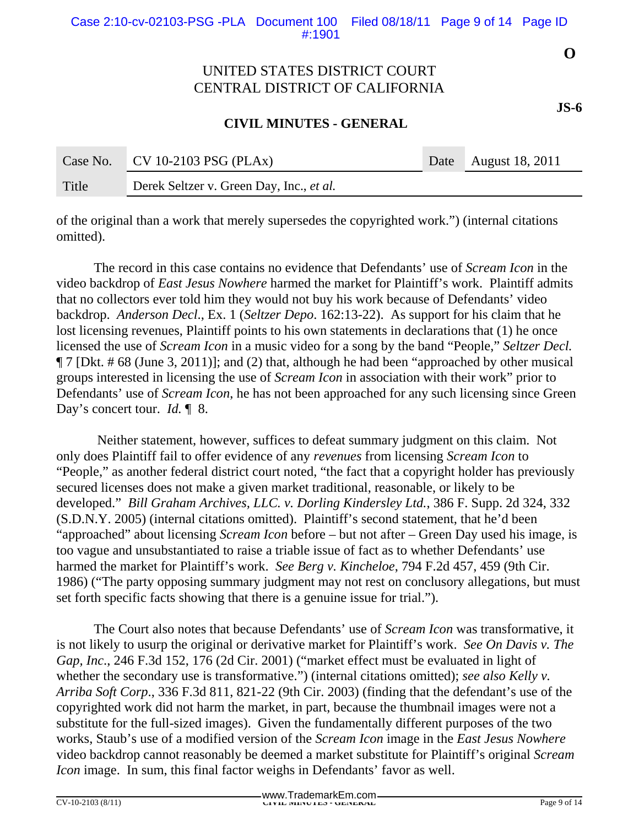### **CIVIL MINUTES - GENERAL**

| Case No. | CV 10-2103 PSG (PLAx)                    | Date August 18, 2011 |
|----------|------------------------------------------|----------------------|
| Title    | Derek Seltzer v. Green Day, Inc., et al. |                      |

of the original than a work that merely supersedes the copyrighted work.") (internal citations omitted).

The record in this case contains no evidence that Defendants' use of *Scream Icon* in the video backdrop of *East Jesus Nowhere* harmed the market for Plaintiff's work. Plaintiff admits that no collectors ever told him they would not buy his work because of Defendants' video backdrop. *Anderson Decl*., Ex. 1 (*Seltzer Depo*. 162:13-22). As support for his claim that he lost licensing revenues, Plaintiff points to his own statements in declarations that (1) he once licensed the use of *Scream Icon* in a music video for a song by the band "People," *Seltzer Decl.* ¶ 7 [Dkt. # 68 (June 3, 2011)]; and (2) that, although he had been "approached by other musical groups interested in licensing the use of *Scream Icon* in association with their work" prior to Defendants' use of *Scream Icon*, he has not been approached for any such licensing since Green Day's concert tour. *Id.* 18.

 Neither statement, however, suffices to defeat summary judgment on this claim. Not only does Plaintiff fail to offer evidence of any *revenues* from licensing *Scream Icon* to "People," as another federal district court noted, "the fact that a copyright holder has previously secured licenses does not make a given market traditional, reasonable, or likely to be developed." *Bill Graham Archives, LLC. v. Dorling Kindersley Ltd.*, 386 F. Supp. 2d 324, 332 (S.D.N.Y. 2005) (internal citations omitted). Plaintiff's second statement, that he'd been "approached" about licensing *Scream Icon* before – but not after – Green Day used his image, is too vague and unsubstantiated to raise a triable issue of fact as to whether Defendants' use harmed the market for Plaintiff's work. *See Berg v. Kincheloe*, 794 F.2d 457, 459 (9th Cir. 1986) ("The party opposing summary judgment may not rest on conclusory allegations, but must set forth specific facts showing that there is a genuine issue for trial.").

The Court also notes that because Defendants' use of *Scream Icon* was transformative, it is not likely to usurp the original or derivative market for Plaintiff's work. *See On Davis v. The Gap, Inc*., 246 F.3d 152, 176 (2d Cir. 2001) ("market effect must be evaluated in light of whether the secondary use is transformative.") (internal citations omitted); *see also Kelly v. Arriba Soft Corp*., 336 F.3d 811, 821-22 (9th Cir. 2003) (finding that the defendant's use of the copyrighted work did not harm the market, in part, because the thumbnail images were not a substitute for the full-sized images). Given the fundamentally different purposes of the two works, Staub's use of a modified version of the *Scream Icon* image in the *East Jesus Nowhere* video backdrop cannot reasonably be deemed a market substitute for Plaintiff's original *Scream Icon* image. In sum, this final factor weighs in Defendants' favor as well.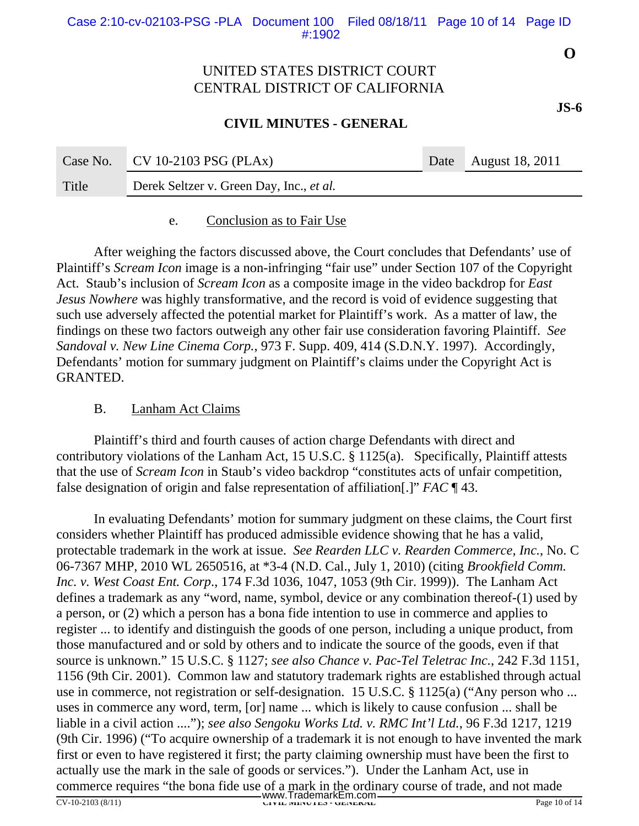### **CIVIL MINUTES - GENERAL**

| Case No. | $\sim$ CV 10-2103 PSG (PLAx)             | Date August 18, 2011 |
|----------|------------------------------------------|----------------------|
| Title    | Derek Seltzer v. Green Day, Inc., et al. |                      |

e. Conclusion as to Fair Use

After weighing the factors discussed above, the Court concludes that Defendants' use of Plaintiff's *Scream Icon* image is a non-infringing "fair use" under Section 107 of the Copyright Act. Staub's inclusion of *Scream Icon* as a composite image in the video backdrop for *East Jesus Nowhere* was highly transformative, and the record is void of evidence suggesting that such use adversely affected the potential market for Plaintiff's work. As a matter of law, the findings on these two factors outweigh any other fair use consideration favoring Plaintiff. *See Sandoval v. New Line Cinema Corp.*, 973 F. Supp. 409, 414 (S.D.N.Y. 1997). Accordingly, Defendants' motion for summary judgment on Plaintiff's claims under the Copyright Act is GRANTED.

### B. Lanham Act Claims

Plaintiff's third and fourth causes of action charge Defendants with direct and contributory violations of the Lanham Act, 15 U.S.C. § 1125(a). Specifically, Plaintiff attests that the use of *Scream Icon* in Staub's video backdrop "constitutes acts of unfair competition, false designation of origin and false representation of affiliation[.]" *FAC* ¶ 43.

In evaluating Defendants' motion for summary judgment on these claims, the Court first considers whether Plaintiff has produced admissible evidence showing that he has a valid, protectable trademark in the work at issue. *See Rearden LLC v. Rearden Commerce, Inc.*, No. C 06-7367 MHP, 2010 WL 2650516, at \*3-4 (N.D. Cal., July 1, 2010) (citing *Brookfield Comm. Inc. v. West Coast Ent. Corp*., 174 F.3d 1036, 1047, 1053 (9th Cir. 1999)). The Lanham Act defines a trademark as any "word, name, symbol, device or any combination thereof-(1) used by a person, or (2) which a person has a bona fide intention to use in commerce and applies to register ... to identify and distinguish the goods of one person, including a unique product, from those manufactured and or sold by others and to indicate the source of the goods, even if that source is unknown." 15 U.S.C. § 1127; *see also Chance v. Pac-Tel Teletrac Inc.*, 242 F.3d 1151, 1156 (9th Cir. 2001). Common law and statutory trademark rights are established through actual use in commerce, not registration or self-designation. 15 U.S.C. § 1125(a) ("Any person who ... uses in commerce any word, term, [or] name ... which is likely to cause confusion ... shall be liable in a civil action ...."); *see also Sengoku Works Ltd. v. RMC Int'l Ltd.*, 96 F.3d 1217, 1219 (9th Cir. 1996) ("To acquire ownership of a trademark it is not enough to have invented the mark first or even to have registered it first; the party claiming ownership must have been the first to actually use the mark in the sale of goods or services."). Under the Lanham Act, use in commerce requires "the bona fide use of a mark in the ordinary course of trade, and not made

**O**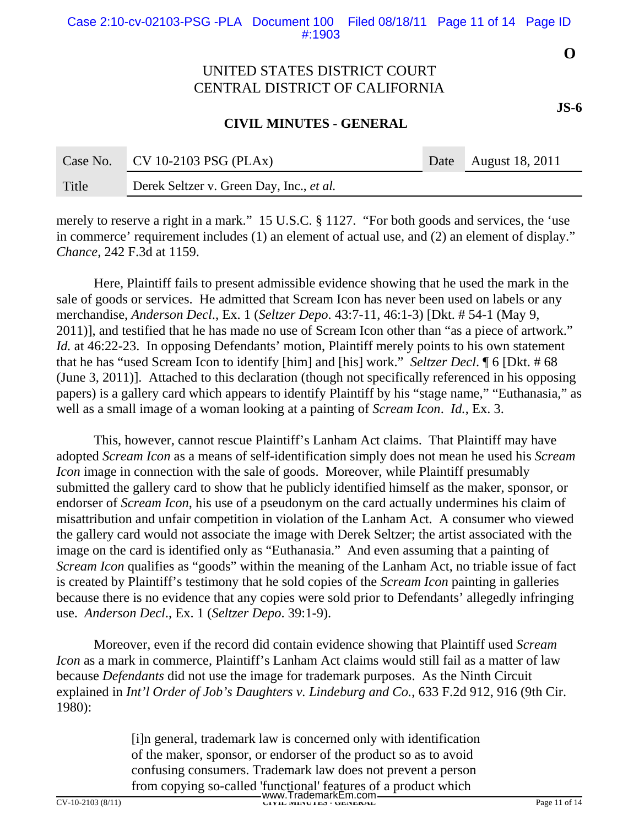#### **CIVIL MINUTES - GENERAL**

| Case No. | $CV 10-2103 PSG (PLAx)$                  | Date August 18, 2011 |
|----------|------------------------------------------|----------------------|
| Title    | Derek Seltzer v. Green Day, Inc., et al. |                      |

merely to reserve a right in a mark." 15 U.S.C. § 1127. "For both goods and services, the 'use in commerce' requirement includes (1) an element of actual use, and (2) an element of display." *Chance*, 242 F.3d at 1159.

Here, Plaintiff fails to present admissible evidence showing that he used the mark in the sale of goods or services. He admitted that Scream Icon has never been used on labels or any merchandise, *Anderson Decl*., Ex. 1 (*Seltzer Depo*. 43:7-11, 46:1-3) [Dkt. # 54-1 (May 9, 2011)], and testified that he has made no use of Scream Icon other than "as a piece of artwork." *Id.* at 46:22-23. In opposing Defendants' motion, Plaintiff merely points to his own statement that he has "used Scream Icon to identify [him] and [his] work." *Seltzer Decl*. ¶ 6 [Dkt. # 68 (June 3, 2011)]. Attached to this declaration (though not specifically referenced in his opposing papers) is a gallery card which appears to identify Plaintiff by his "stage name," "Euthanasia," as well as a small image of a woman looking at a painting of *Scream Icon*. *Id.*, Ex. 3.

This, however, cannot rescue Plaintiff's Lanham Act claims. That Plaintiff may have adopted *Scream Icon* as a means of self-identification simply does not mean he used his *Scream Icon* image in connection with the sale of goods. Moreover, while Plaintiff presumably submitted the gallery card to show that he publicly identified himself as the maker, sponsor, or endorser of *Scream Icon*, his use of a pseudonym on the card actually undermines his claim of misattribution and unfair competition in violation of the Lanham Act. A consumer who viewed the gallery card would not associate the image with Derek Seltzer; the artist associated with the image on the card is identified only as "Euthanasia." And even assuming that a painting of *Scream Icon* qualifies as "goods" within the meaning of the Lanham Act, no triable issue of fact is created by Plaintiff's testimony that he sold copies of the *Scream Icon* painting in galleries because there is no evidence that any copies were sold prior to Defendants' allegedly infringing use. *Anderson Decl*., Ex. 1 (*Seltzer Depo*. 39:1-9).

Moreover, even if the record did contain evidence showing that Plaintiff used *Scream Icon* as a mark in commerce, Plaintiff's Lanham Act claims would still fail as a matter of law because *Defendants* did not use the image for trademark purposes. As the Ninth Circuit explained in *Int'l Order of Job's Daughters v. Lindeburg and Co.*, 633 F.2d 912, 916 (9th Cir. 1980):

> [i]n general, trademark law is concerned only with identification of the maker, sponsor, or endorser of the product so as to avoid confusing consumers. Trademark law does not prevent a person from copying so-called 'functional' features of a product which

CV-10-2103 (8/11) **CIVIL MINUTES - GENERAL** Page 11 of 14 www.TrademarkEm.com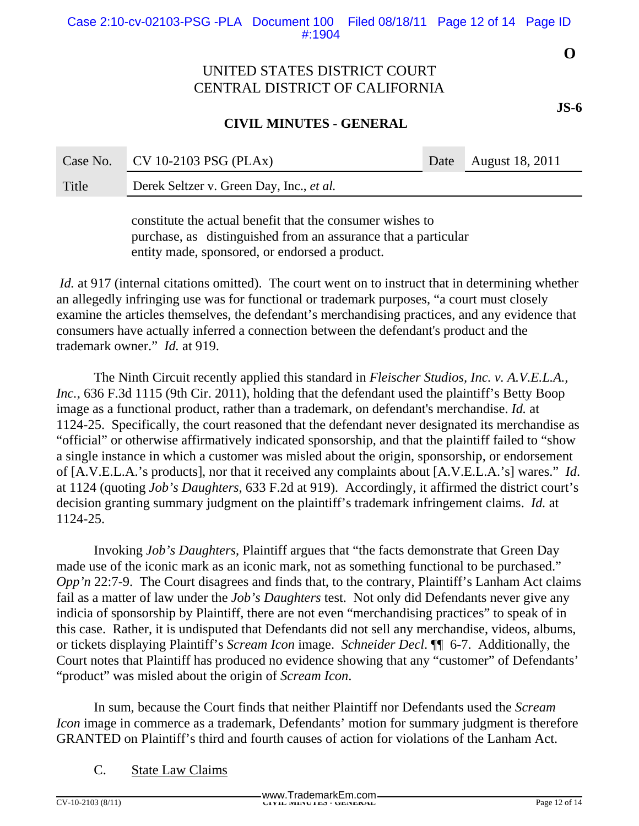### **CIVIL MINUTES - GENERAL**

| Case No. | $\sim$ CV 10-2103 PSG (PLAx)             | Date August 18, 2011 |
|----------|------------------------------------------|----------------------|
| Title    | Derek Seltzer v. Green Day, Inc., et al. |                      |

constitute the actual benefit that the consumer wishes to purchase, as distinguished from an assurance that a particular entity made, sponsored, or endorsed a product.

*Id.* at 917 (internal citations omitted). The court went on to instruct that in determining whether an allegedly infringing use was for functional or trademark purposes, "a court must closely examine the articles themselves, the defendant's merchandising practices, and any evidence that consumers have actually inferred a connection between the defendant's product and the trademark owner." *Id.* at 919.

The Ninth Circuit recently applied this standard in *Fleischer Studios, Inc. v. A.V.E.L.A., Inc.*, 636 F.3d 1115 (9th Cir. 2011), holding that the defendant used the plaintiff's Betty Boop image as a functional product, rather than a trademark, on defendant's merchandise. *Id.* at 1124-25. Specifically, the court reasoned that the defendant never designated its merchandise as "official" or otherwise affirmatively indicated sponsorship, and that the plaintiff failed to "show a single instance in which a customer was misled about the origin, sponsorship, or endorsement of [A.V.E.L.A.'s products], nor that it received any complaints about [A.V.E.L.A.'s] wares." *Id*. at 1124 (quoting *Job's Daughters*, 633 F.2d at 919). Accordingly, it affirmed the district court's decision granting summary judgment on the plaintiff's trademark infringement claims. *Id.* at 1124-25.

Invoking *Job's Daughters*, Plaintiff argues that "the facts demonstrate that Green Day made use of the iconic mark as an iconic mark, not as something functional to be purchased." *Opp'n* 22:7-9. The Court disagrees and finds that, to the contrary, Plaintiff's Lanham Act claims fail as a matter of law under the *Job's Daughters* test. Not only did Defendants never give any indicia of sponsorship by Plaintiff, there are not even "merchandising practices" to speak of in this case. Rather, it is undisputed that Defendants did not sell any merchandise, videos, albums, or tickets displaying Plaintiff's *Scream Icon* image. *Schneider Decl*. ¶¶ 6-7. Additionally, the Court notes that Plaintiff has produced no evidence showing that any "customer" of Defendants' "product" was misled about the origin of *Scream Icon*.

In sum, because the Court finds that neither Plaintiff nor Defendants used the *Scream Icon* image in commerce as a trademark, Defendants' motion for summary judgment is therefore GRANTED on Plaintiff's third and fourth causes of action for violations of the Lanham Act.

C. State Law Claims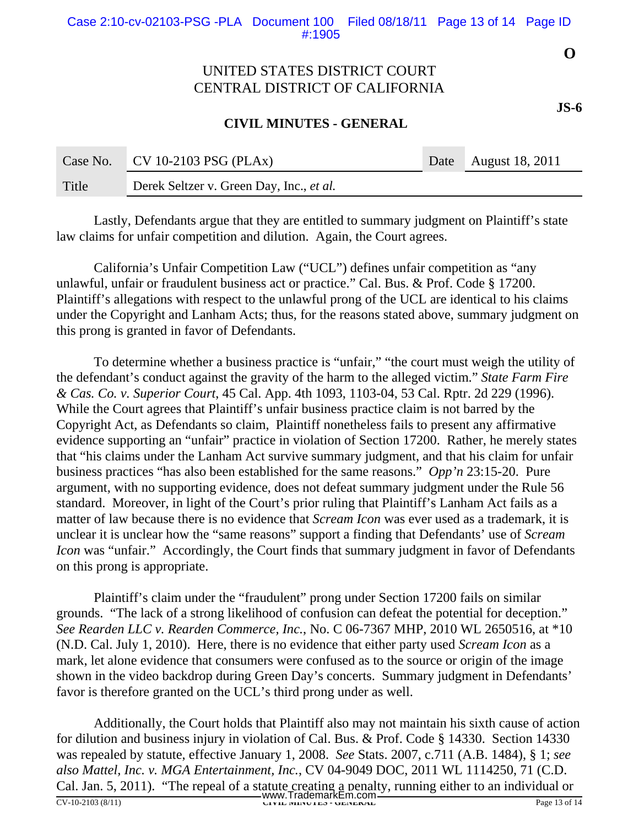### **CIVIL MINUTES - GENERAL**

| Case No. | $\sim$ CV 10-2103 PSG (PLAx)             | Date August 18, 2011 |
|----------|------------------------------------------|----------------------|
| Title    | Derek Seltzer v. Green Day, Inc., et al. |                      |

Lastly, Defendants argue that they are entitled to summary judgment on Plaintiff's state law claims for unfair competition and dilution. Again, the Court agrees.

California's Unfair Competition Law ("UCL") defines unfair competition as "any unlawful, unfair or fraudulent business act or practice." Cal. Bus. & Prof. Code § 17200. Plaintiff's allegations with respect to the unlawful prong of the UCL are identical to his claims under the Copyright and Lanham Acts; thus, for the reasons stated above, summary judgment on this prong is granted in favor of Defendants.

To determine whether a business practice is "unfair," "the court must weigh the utility of the defendant's conduct against the gravity of the harm to the alleged victim." *State Farm Fire & Cas. Co. v. Superior Court*, 45 Cal. App. 4th 1093, 1103-04, 53 Cal. Rptr. 2d 229 (1996). While the Court agrees that Plaintiff's unfair business practice claim is not barred by the Copyright Act, as Defendants so claim, Plaintiff nonetheless fails to present any affirmative evidence supporting an "unfair" practice in violation of Section 17200. Rather, he merely states that "his claims under the Lanham Act survive summary judgment, and that his claim for unfair business practices "has also been established for the same reasons." *Opp'n* 23:15-20. Pure argument, with no supporting evidence, does not defeat summary judgment under the Rule 56 standard. Moreover, in light of the Court's prior ruling that Plaintiff's Lanham Act fails as a matter of law because there is no evidence that *Scream Icon* was ever used as a trademark, it is unclear it is unclear how the "same reasons" support a finding that Defendants' use of *Scream Icon* was "unfair." Accordingly, the Court finds that summary judgment in favor of Defendants on this prong is appropriate.

Plaintiff's claim under the "fraudulent" prong under Section 17200 fails on similar grounds. "The lack of a strong likelihood of confusion can defeat the potential for deception." *See Rearden LLC v. Rearden Commerce, Inc.*, No. C 06-7367 MHP, 2010 WL 2650516, at \*10 (N.D. Cal. July 1, 2010). Here, there is no evidence that either party used *Scream Icon* as a mark, let alone evidence that consumers were confused as to the source or origin of the image shown in the video backdrop during Green Day's concerts. Summary judgment in Defendants' favor is therefore granted on the UCL's third prong under as well.

Additionally, the Court holds that Plaintiff also may not maintain his sixth cause of action for dilution and business injury in violation of Cal. Bus. & Prof. Code § 14330. Section 14330 was repealed by statute, effective January 1, 2008. *See* Stats. 2007, c.711 (A.B. 1484), § 1; *see also Mattel, Inc. v. MGA Entertainment, Inc.*, CV 04-9049 DOC, 2011 WL 1114250, 71 (C.D. Cal. Jan. 5, 2011). "The repeal of a statute creating a penalty, running either to an individual or WWW.TrademarkEm.com CV-10-2103 (8/11)

**O**